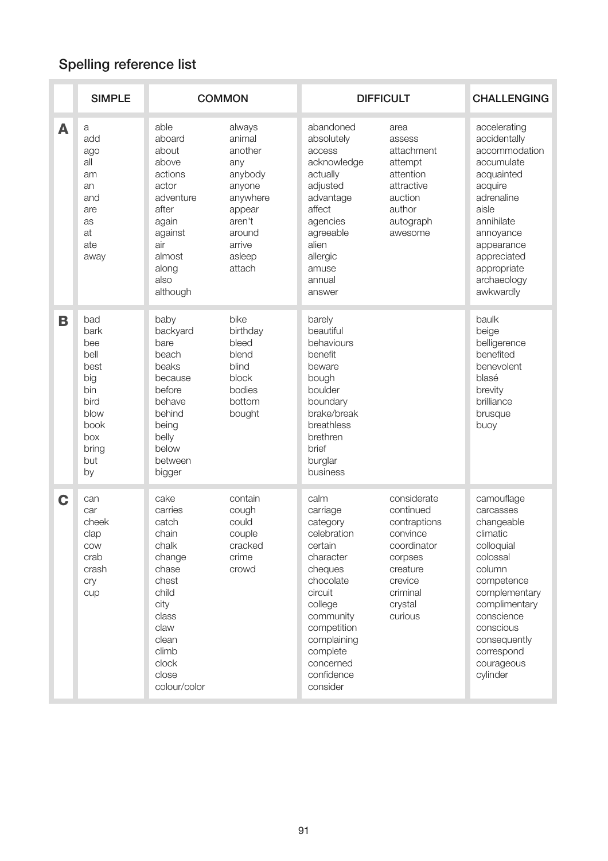## Spelling reference list

|   | <b>SIMPLE</b>                                                                                         | <b>COMMON</b>                                                                                                                                                |                                                                                                                                 | <b>DIFFICULT</b>                                                                                                                                                                                                |                                                                                                                                         | <b>CHALLENGING</b>                                                                                                                                                                                                       |
|---|-------------------------------------------------------------------------------------------------------|--------------------------------------------------------------------------------------------------------------------------------------------------------------|---------------------------------------------------------------------------------------------------------------------------------|-----------------------------------------------------------------------------------------------------------------------------------------------------------------------------------------------------------------|-----------------------------------------------------------------------------------------------------------------------------------------|--------------------------------------------------------------------------------------------------------------------------------------------------------------------------------------------------------------------------|
| A | a<br>add<br>ago<br>all<br>am<br>an<br>and<br>are<br>as<br>at<br>ate<br>away                           | able<br>aboard<br>about<br>above<br>actions<br>actor<br>adventure<br>after<br>again<br>against<br>air<br>almost<br>along<br>also<br>although                 | always<br>animal<br>another<br>any<br>anybody<br>anyone<br>anywhere<br>appear<br>aren't<br>around<br>arrive<br>asleep<br>attach | abandoned<br>absolutely<br>access<br>acknowledge<br>actually<br>adjusted<br>advantage<br>affect<br>agencies<br>agreeable<br>alien<br>allergic<br>amuse<br>annual<br>answer                                      | area<br>assess<br>attachment<br>attempt<br>attention<br>attractive<br>auction<br>author<br>autograph<br>awesome                         | accelerating<br>accidentally<br>accommodation<br>accumulate<br>acquainted<br>acquire<br>adrenaline<br>aisle<br>annihilate<br>annoyance<br>appearance<br>appreciated<br>appropriate<br>archaeology<br>awkwardly           |
| B | bad<br>bark<br>bee<br>bell<br>best<br>big<br>bin<br>bird<br>blow<br>book<br>box<br>bring<br>but<br>by | baby<br>backyard<br>bare<br>beach<br>beaks<br>because<br>before<br>behave<br>behind<br>being<br>belly<br>below<br>between<br>bigger                          | bike<br>birthday<br>bleed<br>blend<br>blind<br>block<br>bodies<br>bottom<br>bought                                              | barely<br>beautiful<br>behaviours<br>benefit<br>beware<br>bough<br>boulder<br>boundary<br>brake/break<br>breathless<br>brethren<br>brief<br>burglar<br>business                                                 |                                                                                                                                         | baulk<br>beige<br>belligerence<br>benefited<br>benevolent<br>blasé<br>brevity<br>brilliance<br>brusque<br>buoy                                                                                                           |
| C | can<br>car<br>cheek<br>clap<br>COW<br>crab<br>crash<br>cry<br>cup                                     | cake<br>carries<br>catch<br>chain<br>chalk<br>change<br>chase<br>chest<br>child<br>city<br>class<br>claw<br>clean<br>climb<br>clock<br>close<br>colour/color | contain<br>cough<br>could<br>couple<br>cracked<br>crime<br>crowd                                                                | calm<br>carriage<br>category<br>celebration<br>certain<br>character<br>cheques<br>chocolate<br>circuit<br>college<br>community<br>competition<br>complaining<br>complete<br>concerned<br>confidence<br>consider | considerate<br>continued<br>contraptions<br>convince<br>coordinator<br>corpses<br>creature<br>crevice<br>criminal<br>crystal<br>curious | camouflage<br>carcasses<br>changeable<br>climatic<br>colloquial<br>colossal<br>column<br>competence<br>complementary<br>complimentary<br>conscience<br>conscious<br>consequently<br>correspond<br>courageous<br>cylinder |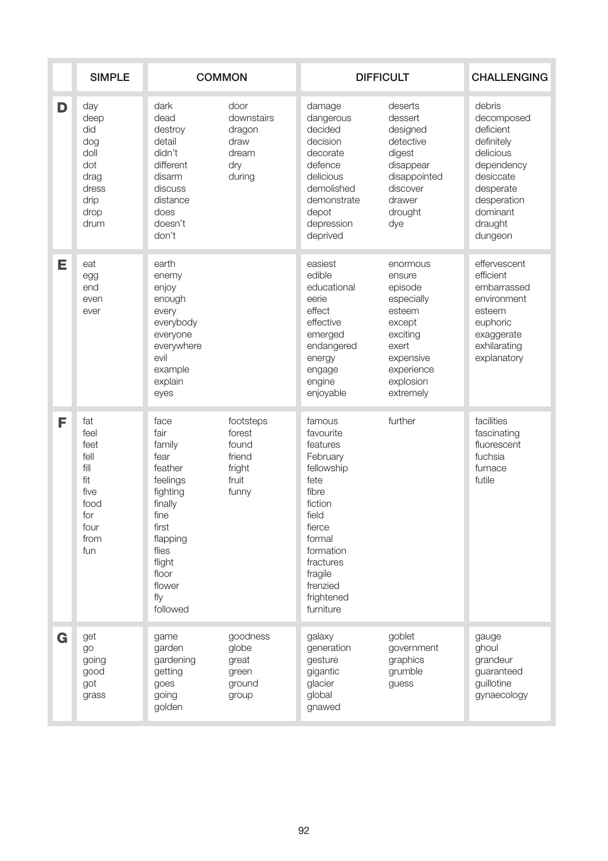|   | <b>SIMPLE</b>                                                                            | <b>COMMON</b>                                                                                                                                                      |                                                                    | <b>DIFFICULT</b>                                                                                                                                                                               |                                                                                                                                           | <b>CHALLENGING</b>                                                                                                                                    |
|---|------------------------------------------------------------------------------------------|--------------------------------------------------------------------------------------------------------------------------------------------------------------------|--------------------------------------------------------------------|------------------------------------------------------------------------------------------------------------------------------------------------------------------------------------------------|-------------------------------------------------------------------------------------------------------------------------------------------|-------------------------------------------------------------------------------------------------------------------------------------------------------|
| D | day<br>deep<br>did<br>dog<br>doll<br>dot<br>drag<br>dress<br>drip<br>drop<br>drum        | dark<br>dead<br>destroy<br>detail<br>didn't<br>different<br>disarm<br>discuss<br>distance<br>does<br>doesn't<br>don't                                              | door<br>downstairs<br>dragon<br>draw<br>dream<br>dry<br>during     | damage<br>dangerous<br>decided<br>decision<br>decorate<br>defence<br>delicious<br>demolished<br>demonstrate<br>depot<br>depression<br>deprived                                                 | deserts<br>dessert<br>designed<br>detective<br>digest<br>disappear<br>disappointed<br>discover<br>drawer<br>drought<br>dye                | debris<br>decomposed<br>deficient<br>definitely<br>delicious<br>dependency<br>desiccate<br>desperate<br>desperation<br>dominant<br>draught<br>dungeon |
| Е | eat<br>egg<br>end<br>even<br>ever                                                        | earth<br>enemy<br>enjoy<br>enough<br>every<br>everybody<br>everyone<br>everywhere<br>evil<br>example<br>explain<br>eyes                                            |                                                                    | easiest<br>edible<br>educational<br>eerie<br>effect<br>effective<br>emerged<br>endangered<br>energy<br>engage<br>engine<br>enjoyable                                                           | enormous<br>ensure<br>episode<br>especially<br>esteem<br>except<br>exciting<br>exert<br>expensive<br>experience<br>explosion<br>extremely | effervescent<br>efficient<br>embarrassed<br>environment<br>esteem<br>euphoric<br>exaggerate<br>exhilarating<br>explanatory                            |
| F | fat<br>feel<br>feet<br>fell<br>fill<br>fit<br>five<br>food<br>for<br>four<br>from<br>fun | face<br>fair<br>family<br>fear<br>feather<br>feelings<br>fighting<br>finally<br>fine<br>first<br>flapping<br>flies<br>flight<br>floor<br>flower<br>fly<br>followed | footsteps<br>forest<br>found<br>friend<br>fright<br>fruit<br>funny | famous<br>favourite<br>features<br>February<br>fellowship<br>fete<br>fibre<br>fiction<br>field<br>fierce<br>formal<br>formation<br>fractures<br>fragile<br>frenzied<br>frightened<br>furniture | further                                                                                                                                   | facilities<br>fascinating<br>fluorescent<br>fuchsia<br>furnace<br>futile                                                                              |
| G | get<br>go<br>going<br>good<br>got<br>grass                                               | game<br>garden<br>gardening<br>getting<br>goes<br>going<br>golden                                                                                                  | goodness<br>globe<br>great<br>green<br>ground<br>group             | galaxy<br>generation<br>gesture<br>gigantic<br>glacier<br>global<br>gnawed                                                                                                                     | goblet<br>government<br>graphics<br>grumble<br>guess                                                                                      | gauge<br>ghoul<br>grandeur<br>guaranteed<br>guillotine<br>gynaecology                                                                                 |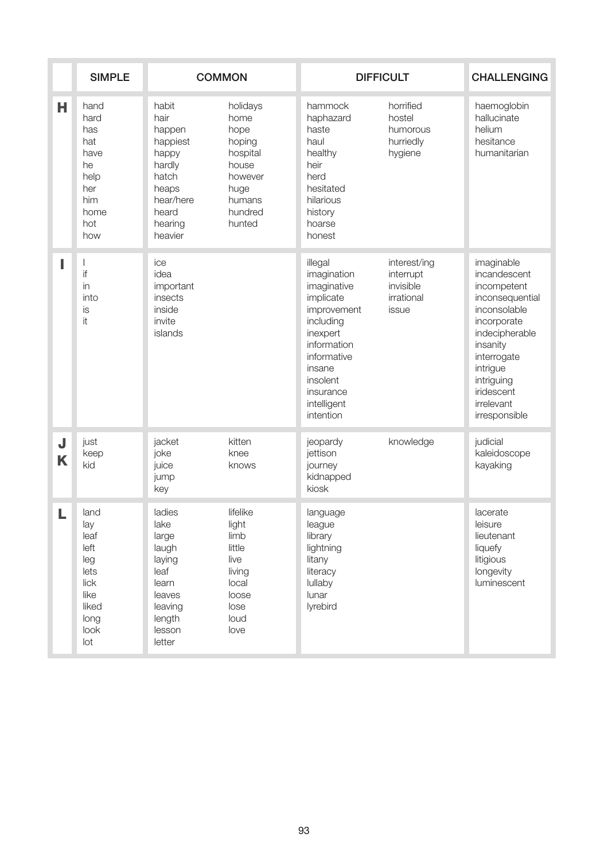|        | <b>SIMPLE</b>                                                                              | <b>COMMON</b>                                                                                                        |                                                                                                           | <b>DIFFICULT</b>                                                                                                                                                                        |                                                               | <b>CHALLENGING</b>                                                                                                                                                                                              |
|--------|--------------------------------------------------------------------------------------------|----------------------------------------------------------------------------------------------------------------------|-----------------------------------------------------------------------------------------------------------|-----------------------------------------------------------------------------------------------------------------------------------------------------------------------------------------|---------------------------------------------------------------|-----------------------------------------------------------------------------------------------------------------------------------------------------------------------------------------------------------------|
| н      | hand<br>hard<br>has<br>hat<br>have<br>he<br>help<br>her<br>him<br>home<br>hot<br>how       | habit<br>hair<br>happen<br>happiest<br>happy<br>hardly<br>hatch<br>heaps<br>hear/here<br>heard<br>hearing<br>heavier | holidays<br>home<br>hope<br>hoping<br>hospital<br>house<br>however<br>huge<br>humans<br>hundred<br>hunted | hammock<br>haphazard<br>haste<br>haul<br>healthy<br>heir<br>herd<br>hesitated<br>hilarious<br>history<br>hoarse<br>honest                                                               | horrified<br>hostel<br>humorous<br>hurriedly<br>hygiene       | haemoglobin<br>hallucinate<br>helium<br>hesitance<br>humanitarian                                                                                                                                               |
|        | ı<br>if<br>in<br>into<br>is<br>it                                                          | ice<br>idea<br>important<br>insects<br>inside<br>invite<br>islands                                                   |                                                                                                           | illegal<br>imagination<br>imaginative<br>implicate<br>improvement<br>including<br>inexpert<br>information<br>informative<br>insane<br>insolent<br>insurance<br>intelligent<br>intention | interest/ing<br>interrupt<br>invisible<br>irrational<br>issue | imaginable<br>incandescent<br>incompetent<br>inconsequential<br>inconsolable<br>incorporate<br>indecipherable<br>insanity<br>interrogate<br>intrigue<br>intriguing<br>iridescent<br>irrelevant<br>irresponsible |
| J<br>K | just<br>keep<br>kid                                                                        | jacket<br>joke<br>juice<br>jump<br>key                                                                               | kitten<br>knee<br>knows                                                                                   | jeopardy<br>jettison<br>journey<br>kidnapped<br>kiosk                                                                                                                                   | knowledge                                                     | judicial<br>kaleidoscope<br>kayaking                                                                                                                                                                            |
|        | land<br>lay<br>leaf<br>left<br>leg<br>lets<br>lick<br>like<br>liked<br>long<br>look<br>lot | ladies<br>lake<br>large<br>laugh<br>laying<br>leaf<br>learn<br>leaves<br>leaving<br>length<br>lesson<br>letter       | lifelike<br>light<br>limb<br>little<br>live<br>living<br>local<br>loose<br>lose<br>loud<br>love           | language<br>league<br>library<br>lightning<br>litany<br>literacy<br>lullaby<br>lunar<br>lyrebird                                                                                        |                                                               | lacerate<br>leisure<br>lieutenant<br>liquefy<br>litigious<br>longevity<br>luminescent                                                                                                                           |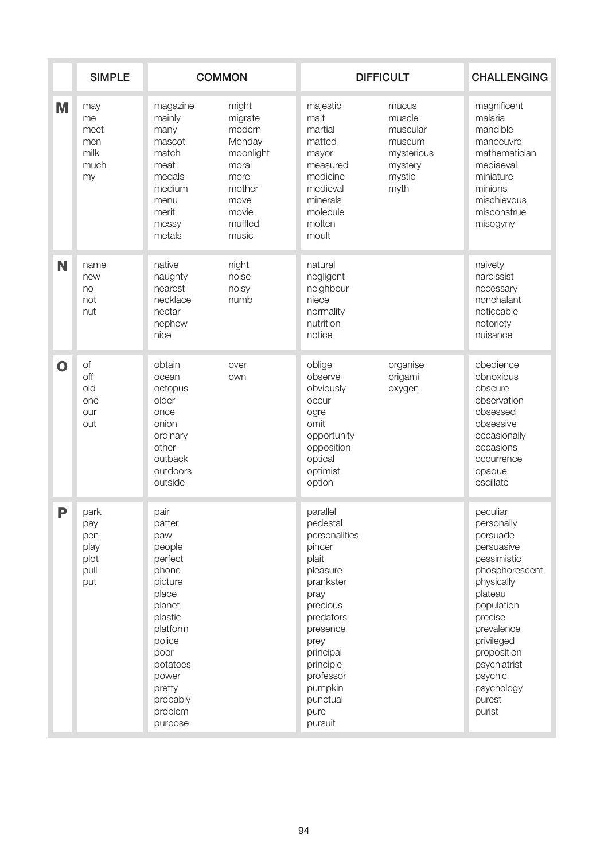|              | <b>SIMPLE</b>                                     | <b>COMMON</b>                                                                                                                                                                               |                                                                                                                   | <b>DIFFICULT</b>                                                                                                                                                                                                        |                                                                                  | <b>CHALLENGING</b>                                                                                                                                                                                                                          |
|--------------|---------------------------------------------------|---------------------------------------------------------------------------------------------------------------------------------------------------------------------------------------------|-------------------------------------------------------------------------------------------------------------------|-------------------------------------------------------------------------------------------------------------------------------------------------------------------------------------------------------------------------|----------------------------------------------------------------------------------|---------------------------------------------------------------------------------------------------------------------------------------------------------------------------------------------------------------------------------------------|
| M            | may<br>me<br>meet<br>men<br>milk<br>much<br>my    | magazine<br>mainly<br>many<br>mascot<br>match<br>meat<br>medals<br>medium<br>menu<br>merit<br>messy<br>metals                                                                               | might<br>migrate<br>modern<br>Monday<br>moonlight<br>moral<br>more<br>mother<br>move<br>movie<br>muffled<br>music | majestic<br>malt<br>martial<br>matted<br>mayor<br>measured<br>medicine<br>medieval<br>minerals<br>molecule<br>molten<br>moult                                                                                           | mucus<br>muscle<br>muscular<br>museum<br>mysterious<br>mystery<br>mystic<br>myth | magnificent<br>malaria<br>mandible<br>manoeuvre<br>mathematician<br>mediaeval<br>miniature<br>minions<br>mischievous<br>misconstrue<br>misogyny                                                                                             |
| N            | name<br>new<br>no<br>not<br>nut                   | native<br>naughty<br>nearest<br>necklace<br>nectar<br>nephew<br>nice                                                                                                                        | night<br>noise<br>noisy<br>numb                                                                                   | natural<br>negligent<br>neighbour<br>niece<br>normality<br>nutrition<br>notice                                                                                                                                          |                                                                                  | naivety<br>narcissist<br>necessary<br>nonchalant<br>noticeable<br>notoriety<br>nuisance                                                                                                                                                     |
| $\mathbf{O}$ | of<br>off<br>old<br>one<br>our<br>out             | obtain<br>ocean<br>octopus<br>older<br>once<br>onion<br>ordinary<br>other<br>outback<br>outdoors<br>outside                                                                                 | over<br>own                                                                                                       | oblige<br>observe<br>obviously<br>occur<br>ogre<br>omit<br>opportunity<br>opposition<br>optical<br>optimist<br>option                                                                                                   | organise<br>origami<br>oxygen                                                    | obedience<br>obnoxious<br>obscure<br>observation<br>obsessed<br>obsessive<br>occasionally<br>occasions<br>occurrence<br>opaque<br>oscillate                                                                                                 |
| P            | park<br>pay<br>pen<br>play<br>plot<br>pull<br>put | pair<br>patter<br>paw<br>people<br>perfect<br>phone<br>picture<br>place<br>planet<br>plastic<br>platform<br>police<br>poor<br>potatoes<br>power<br>pretty<br>probably<br>problem<br>purpose |                                                                                                                   | parallel<br>pedestal<br>personalities<br>pincer<br>plait<br>pleasure<br>prankster<br>pray<br>precious<br>predators<br>presence<br>prey<br>principal<br>principle<br>professor<br>pumpkin<br>punctual<br>pure<br>pursuit |                                                                                  | peculiar<br>personally<br>persuade<br>persuasive<br>pessimistic<br>phosphorescent<br>physically<br>plateau<br>population<br>precise<br>prevalence<br>privileged<br>proposition<br>psychiatrist<br>psychic<br>psychology<br>purest<br>purist |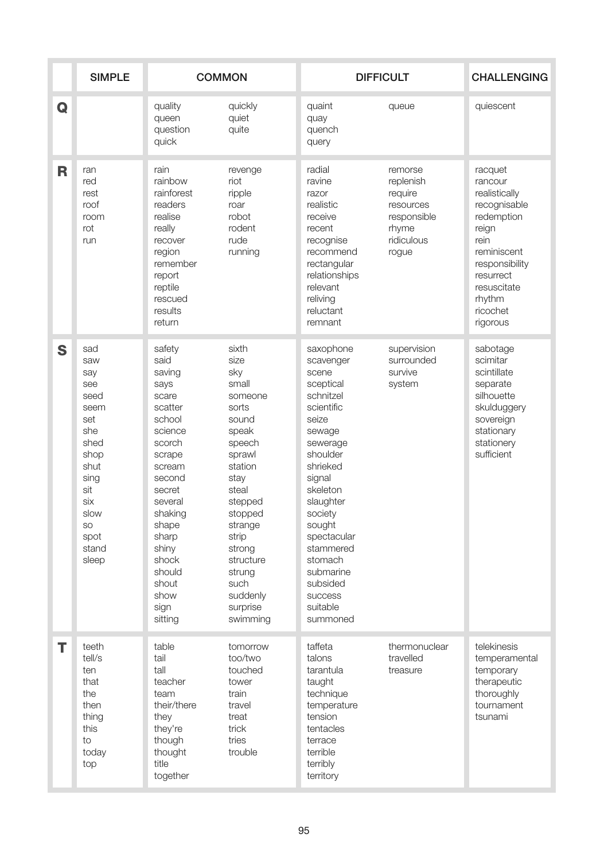|   | <b>SIMPLE</b>                                                                                                                                       | <b>COMMON</b>                                                                                                                                                                                                                       |                                                                                                                                                                                                                                            | <b>DIFFICULT</b>                                                                                                                                                                                                                                                                          |                                                                                             | <b>CHALLENGING</b>                                                                                                                                                                |
|---|-----------------------------------------------------------------------------------------------------------------------------------------------------|-------------------------------------------------------------------------------------------------------------------------------------------------------------------------------------------------------------------------------------|--------------------------------------------------------------------------------------------------------------------------------------------------------------------------------------------------------------------------------------------|-------------------------------------------------------------------------------------------------------------------------------------------------------------------------------------------------------------------------------------------------------------------------------------------|---------------------------------------------------------------------------------------------|-----------------------------------------------------------------------------------------------------------------------------------------------------------------------------------|
| Q |                                                                                                                                                     | quality<br>queen<br>question<br>quick                                                                                                                                                                                               | quickly<br>quiet<br>quite                                                                                                                                                                                                                  | quaint<br>quay<br>quench<br>query                                                                                                                                                                                                                                                         | queue                                                                                       | quiescent                                                                                                                                                                         |
| R | ran<br>red<br>rest<br>roof<br>room<br>rot<br>run                                                                                                    | rain<br>rainbow<br>rainforest<br>readers<br>realise<br>really<br>recover<br>region<br>remember<br>report<br>reptile<br>rescued<br>results<br>return                                                                                 | revenge<br>riot<br>ripple<br>roar<br>robot<br>rodent<br>rude<br>running                                                                                                                                                                    | radial<br>ravine<br>razor<br>realistic<br>receive<br>recent<br>recognise<br>recommend<br>rectangular<br>relationships<br>relevant<br>reliving<br>reluctant<br>remnant                                                                                                                     | remorse<br>replenish<br>require<br>resources<br>responsible<br>rhyme<br>ridiculous<br>rogue | racquet<br>rancour<br>realistically<br>recognisable<br>redemption<br>reign<br>rein<br>reminiscent<br>responsibility<br>resurrect<br>resuscitate<br>rhythm<br>ricochet<br>rigorous |
| S | sad<br>saw<br>say<br>see<br>seed<br>seem<br>set<br>she<br>shed<br>shop<br>shut<br>sing<br>sit<br>six<br>slow<br><b>SO</b><br>spot<br>stand<br>sleep | safety<br>said<br>saving<br>says<br>scare<br>scatter<br>school<br>science<br>scorch<br>scrape<br>scream<br>second<br>secret<br>several<br>shaking<br>shape<br>sharp<br>shiny<br>shock<br>should<br>shout<br>show<br>sign<br>sitting | sixth<br>size<br>sky<br>small<br>someone<br>sorts<br>sound<br>speak<br>speech<br>sprawl<br>station<br>stay<br>steal<br>stepped<br>stopped<br>strange<br>strip<br>strong<br>structure<br>strung<br>such<br>suddenly<br>surprise<br>swimming | saxophone<br>scavenger<br>scene<br>sceptical<br>schnitzel<br>scientific<br>seize<br>sewage<br>sewerage<br>shoulder<br>shrieked<br>signal<br>skeleton<br>slaughter<br>society<br>sought<br>spectacular<br>stammered<br>stomach<br>submarine<br>subsided<br>success<br>suitable<br>summoned | supervision<br>surrounded<br>survive<br>system                                              | sabotage<br>scimitar<br>scintillate<br>separate<br>silhouette<br>skulduggery<br>sovereign<br>stationary<br>stationery<br>sufficient                                               |
| Т | teeth<br>tell/s<br>ten<br>that<br>the<br>then<br>thing<br>this<br>to<br>today<br>top                                                                | table<br>tail<br>tall<br>teacher<br>team<br>their/there<br>they<br>they're<br>though<br>thought<br>title<br>together                                                                                                                | tomorrow<br>too/two<br>touched<br>tower<br>train<br>travel<br>treat<br>trick<br>tries<br>trouble                                                                                                                                           | taffeta<br>talons<br>tarantula<br>taught<br>technique<br>temperature<br>tension<br>tentacles<br>terrace<br>terrible<br>terribly<br>territory                                                                                                                                              | thermonuclear<br>travelled<br>treasure                                                      | telekinesis<br>temperamental<br>temporary<br>therapeutic<br>thoroughly<br>tournament<br>tsunami                                                                                   |